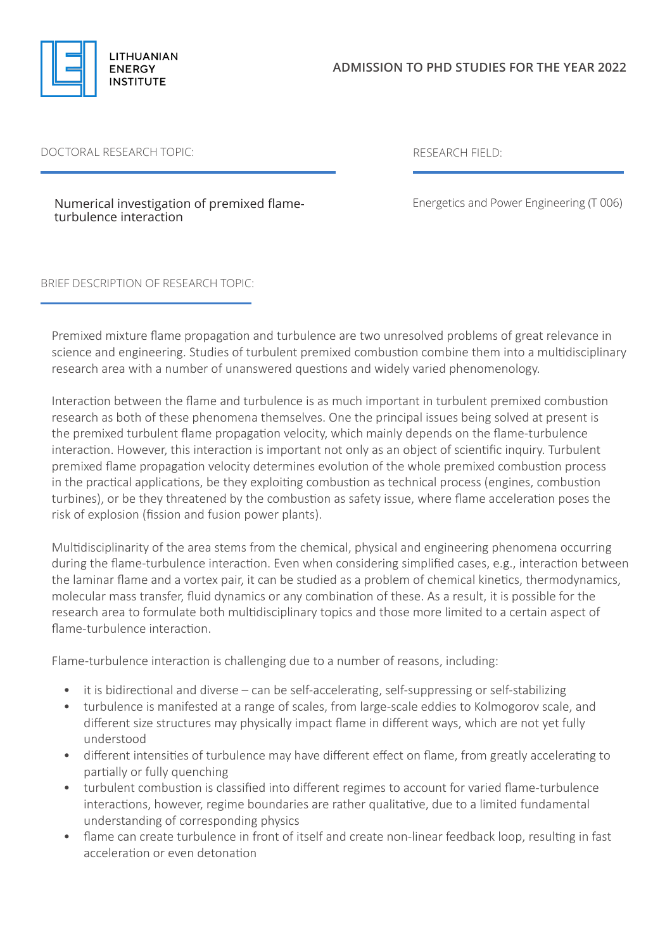

## DOCTORAL RESEARCH TOPIC: RESEARCH FIELD:

Numerical investigation of premixed flameturbulence interaction

Energetics and Power Engineering (T 006)

BRIEF DESCRIPTION OF RESEARCH TOPIC:

Premixed mixture flame propagation and turbulence are two unresolved problems of great relevance in science and engineering. Studies of turbulent premixed combustion combine them into a multidisciplinary research area with a number of unanswered questions and widely varied phenomenology.

Interaction between the flame and turbulence is as much important in turbulent premixed combustion research as both of these phenomena themselves. One the principal issues being solved at present is the premixed turbulent flame propagation velocity, which mainly depends on the flame-turbulence interaction. However, this interaction is important not only as an object of scientific inquiry. Turbulent premixed flame propagation velocity determines evolution of the whole premixed combustion process in the practical applications, be they exploiting combustion as technical process (engines, combustion turbines), or be they threatened by the combustion as safety issue, where flame acceleration poses the risk of explosion (fission and fusion power plants).

Multidisciplinarity of the area stems from the chemical, physical and engineering phenomena occurring during the flame-turbulence interaction. Even when considering simplified cases, e.g., interaction between the laminar flame and a vortex pair, it can be studied as a problem of chemical kinetics, thermodynamics, molecular mass transfer, fluid dynamics or any combination of these. As a result, it is possible for the research area to formulate both multidisciplinary topics and those more limited to a certain aspect of flame-turbulence interaction.

Flame-turbulence interaction is challenging due to a number of reasons, including:

- it is bidirectional and diverse can be self-accelerating, self-suppressing or self-stabilizing
- turbulence is manifested at a range of scales, from large-scale eddies to Kolmogorov scale, and different size structures may physically impact flame in different ways, which are not yet fully understood
- different intensities of turbulence may have different effect on flame, from greatly accelerating to partially or fully quenching
- turbulent combustion is classified into different regimes to account for varied flame-turbulence interactions, however, regime boundaries are rather qualitative, due to a limited fundamental understanding of corresponding physics
- flame can create turbulence in front of itself and create non-linear feedback loop, resulting in fast acceleration or even detonation